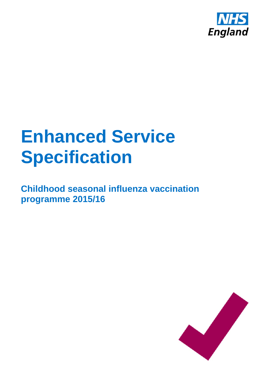

# **Enhanced Service Specification**

**Childhood seasonal influenza vaccination programme 2015/16** 

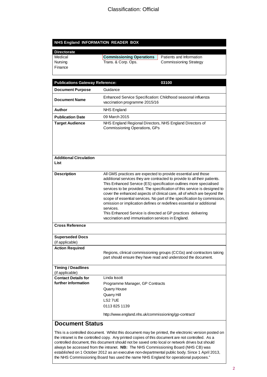#### Classification: Official

#### **NHS England INFORMATION READER BOX**

| <b>Directorate</b> |                                 |                               |
|--------------------|---------------------------------|-------------------------------|
| Medical            | <b>Commissioning Operations</b> | Patients and Information      |
| Nursing            | Trans. & Corp. Ops.             | <b>Commissioning Strategy</b> |
| Finance            |                                 |                               |

| <b>Publications Gateway Reference:</b>            | 03100                                                                                                                                                                                                                                                                                                                                                                                                                                                                                                                                                                                                                                                           |  |  |
|---------------------------------------------------|-----------------------------------------------------------------------------------------------------------------------------------------------------------------------------------------------------------------------------------------------------------------------------------------------------------------------------------------------------------------------------------------------------------------------------------------------------------------------------------------------------------------------------------------------------------------------------------------------------------------------------------------------------------------|--|--|
| <b>Document Purpose</b>                           | Guidance                                                                                                                                                                                                                                                                                                                                                                                                                                                                                                                                                                                                                                                        |  |  |
| <b>Document Name</b>                              | Enhanced Service Specification: Childhood seasonal influenza<br>vaccination programme 2015/16                                                                                                                                                                                                                                                                                                                                                                                                                                                                                                                                                                   |  |  |
| Author                                            | <b>NHS England</b>                                                                                                                                                                                                                                                                                                                                                                                                                                                                                                                                                                                                                                              |  |  |
| <b>Publication Date</b>                           | 09 March 2015                                                                                                                                                                                                                                                                                                                                                                                                                                                                                                                                                                                                                                                   |  |  |
| <b>Target Audience</b>                            | NHS England Regional Directors, NHS England Directors of<br><b>Commissioning Operations, GPs</b>                                                                                                                                                                                                                                                                                                                                                                                                                                                                                                                                                                |  |  |
| <b>Additional Circulation</b><br>List             |                                                                                                                                                                                                                                                                                                                                                                                                                                                                                                                                                                                                                                                                 |  |  |
| <b>Description</b>                                | All GMS practices are expected to provide essential and those<br>additional services they are contracted to provide to all their patients.<br>This Enhanced Service (ES) specification outlines more specialised<br>services to be provided. The specification of this service is designed to<br>cover the enhanced aspects of clinical care, all of which are beyond the<br>scope of essential services. No part of the specification by commission,<br>omission or implication defines or redefines essential or additional<br>services.<br>This Enhanced Service is directed at GP practices delivering<br>vaccination and immunisation services in England. |  |  |
| <b>Cross Reference</b>                            |                                                                                                                                                                                                                                                                                                                                                                                                                                                                                                                                                                                                                                                                 |  |  |
| <b>Superseded Docs</b><br>(if applicable)         |                                                                                                                                                                                                                                                                                                                                                                                                                                                                                                                                                                                                                                                                 |  |  |
| <b>Action Required</b>                            | Regions, clinical commissioning groups (CCGs) and contractors taking<br>part should ensure they have read and understood the document.                                                                                                                                                                                                                                                                                                                                                                                                                                                                                                                          |  |  |
| <b>Timing / Deadlines</b><br>(if applicable)      |                                                                                                                                                                                                                                                                                                                                                                                                                                                                                                                                                                                                                                                                 |  |  |
| <b>Contact Details for</b><br>further information | Linda Issott<br>Programme Manager, GP Contracts<br>Quarry House<br>Quarry Hill<br>LS2 7UE<br>01138251139                                                                                                                                                                                                                                                                                                                                                                                                                                                                                                                                                        |  |  |
|                                                   | http://www.england.nhs.uk/commissioning/gp-contract/                                                                                                                                                                                                                                                                                                                                                                                                                                                                                                                                                                                                            |  |  |
| <b>Document Status</b>                            |                                                                                                                                                                                                                                                                                                                                                                                                                                                                                                                                                                                                                                                                 |  |  |

This is a controlled document. Whilst this document may be printed, the electronic version posted on the intranet is the controlled copy. Any printed copies of this document are not controlled. As a controlled document, this document should not be saved onto local or network drives but should always be accessed from the intranet. **NB:** The NHS Commissioning Board (NHS CB) was established on 1 October 2012 as an executive non-departmental public body. Since 1 April 2013, the NHS Commissioning Board has used the name NHS England for operational purposes."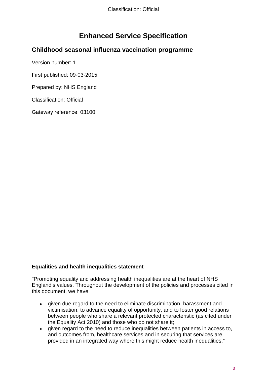Classification: Official

## **Enhanced Service Specification**

#### **Childhood seasonal influenza vaccination programme**

Version number: 1

First published: 09-03-2015

Prepared by: NHS England

Classification: Official

Gateway reference: 03100

#### **Equalities and health inequalities statement**

"Promoting equality and addressing health inequalities are at the heart of NHS England's values. Throughout the development of the policies and processes cited in this document, we have:

- given due regard to the need to eliminate discrimination, harassment and victimisation, to advance equality of opportunity, and to foster good relations between people who share a relevant protected characteristic (as cited under the Equality Act 2010) and those who do not share it;
- given regard to the need to reduce inequalities between patients in access to, and outcomes from, healthcare services and in securing that services are provided in an integrated way where this might reduce health inequalities."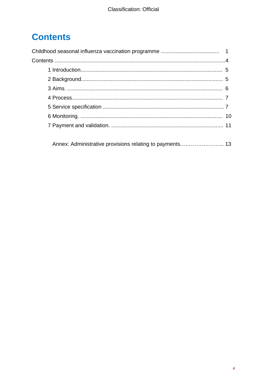## **Contents**

Annex: Administrative provisions relating to payments.......................... 13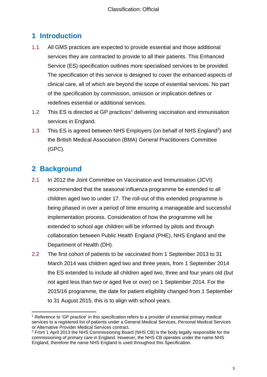## **1 Introduction**

- 1.1 All GMS practices are expected to provide essential and those additional services they are contracted to provide to all their patients. This Enhanced Service (ES) specification outlines more specialised services to be provided. The specification of this service is designed to cover the enhanced aspects of clinical care, all of which are beyond the scope of essential services. No part of the specification by commission, omission or implication defines or redefines essential or additional services.
- 1.2 This ES is directed at GP practices<sup>1</sup> delivering vaccination and immunisation services in England.
- 1.3 This ES is agreed between NHS Employers (on behalf of NHS England<sup>2</sup>) and the British Medical Association (BMA) General Practitioners Committee (GPC).

### **2 Background**

1

- 2.1 In 2012 the Joint Committee on Vaccination and Immunisation (JCVI) recommended that the seasonal influenza programme be extended to all children aged two to under 17. The roll-out of this extended programme is being phased in over a period of time ensuring a manageable and successful implementation process. Consideration of how the programme will be extended to school age children will be informed by pilots and through collaboration between Public Health England (PHE), NHS England and the Department of Health (DH).
- 2.2 The first cohort of patients to be vaccinated from 1 September 2013 to 31 March 2014 was children aged two and three years, from 1 September 2014 the ES extended to include all children aged two, three and four years old (but not aged less than two or aged five or over) on 1 September 2014. For the 2015/16 programme, the date for patient eligibility changed from 1 September to 31 August 2015, this is to align with school years.

<sup>1</sup> Reference to 'GP practice' in this specification refers to a provider of essential primary medical services to a registered list of patients under a General Medical Services, Personal Medical Services or Alternative Provider Medical Services contract.

<sup>&</sup>lt;sup>2</sup> From 1 April 2013 the NHS Commissioning Board (NHS CB) is the body legally responsible for the commissioning of primary care in England. However, the NHS CB operates under the name NHS England, therefore the name NHS England is used throughout this Specification.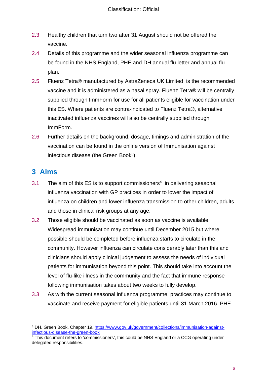- 2.3 Healthy children that turn two after 31 August should not be offered the vaccine.
- 2.4 Details of this programme and the wider seasonal influenza programme can be found in the NHS England, PHE and DH annual flu letter and annual flu plan.
- 2.5 Fluenz Tetra® manufactured by AstraZeneca UK Limited, is the recommended vaccine and it is administered as a nasal spray. Fluenz Tetra® will be centrally supplied through ImmForm for use for all patients eligible for vaccination under this ES. Where patients are contra-indicated to Fluenz Tetra®, alternative inactivated influenza vaccines will also be centrally supplied through ImmForm.
- 2.6 Further details on the background, dosage, timings and administration of the vaccination can be found in the online version of Immunisation against infectious disease (the Green Book<sup>3</sup>).

#### **3 Aims**

<u>.</u>

- $3.1$  The aim of this ES is to support commissioners<sup>4</sup> in delivering seasonal influenza vaccination with GP practices in order to lower the impact of influenza on children and lower influenza transmission to other children, adults and those in clinical risk groups at any age.
- 3.2 Those eligible should be vaccinated as soon as vaccine is available. Widespread immunisation may continue until December 2015 but where possible should be completed before influenza starts to circulate in the community. However influenza can circulate considerably later than this and clinicians should apply clinical judgement to assess the needs of individual patients for immunisation beyond this point. This should take into account the level of flu-like illness in the community and the fact that immune response following immunisation takes about two weeks to fully develop.
- 3.3 As with the current seasonal influenza programme, practices may continue to vaccinate and receive payment for eligible patients until 31 March 2016. PHE

<sup>&</sup>lt;sup>3</sup> DH. Green Book. Chapter 19. https://www.gov.uk/government/collections/immunisation-againstinfectious-disease-the-green-book

 $\frac{4}{4}$ This document refers to 'commissioners', this could be NHS England or a CCG operating under delegated responsibilities.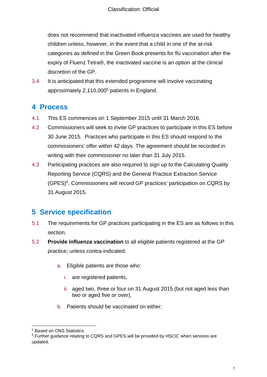does not recommend that inactivated influenza vaccines are used for healthy children unless, however, in the event that a child in one of the at-risk categories as defined in the Green Book presents for flu vaccination after the expiry of Fluenz Tetra®, the inactivated vaccine is an option at the clinical discretion of the GP.

3.4 It is anticipated that this extended programme will involve vaccinating approximately 2,110,0005 patients in England.

#### **4 Process**

- 4.1 This ES commences on 1 September 2015 until 31 March 2016.
- 4.2 Commissioners will seek to invite GP practices to participate in this ES before 30 June 2015. Practices who participate in this ES should respond to the commissioners' offer within 42 days. The agreement should be recorded in writing with their commissioner no later than 31 July 2015.
- 4.3 Participating practices are also required to sign up to the Calculating Quality Reporting Service (CQRS) and the General Practice Extraction Service (GPES)6. Commissioners will record GP practices' participation on CQRS by 31 August 2015.

## **5 Service specification**

- 5.1 The requirements for GP practices participating in the ES are as follows in this section.
- 5.2 **Provide influenza vaccination** to all eligible patients registered at the GP practice; unless contra-indicated.
	- a. Eligible patients are those who:
		- i. are registered patients,
		- ii. aged two, three or four on 31 August 2015 (but not aged less than two or aged five or over),
	- b. Patients should be vaccinated on either:

<sup>1</sup> 5 Based on ONS Statistics.

<sup>&</sup>lt;sup>6</sup> Further guidance relating to CQRS and GPES will be provided by HSCIC when services are updated.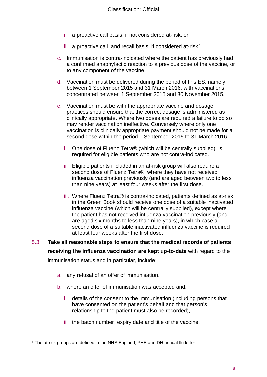- i. a proactive call basis, if not considered at-risk, or
- ii. a proactive call and recall basis, if considered at-risk<sup>7</sup>.
- c. Immunisation is contra-indicated where the patient has previously had a confirmed anaphylactic reaction to a previous dose of the vaccine, or to any component of the vaccine.
- d. Vaccination must be delivered during the period of this ES, namely between 1 September 2015 and 31 March 2016, with vaccinations concentrated between 1 September 2015 and 30 November 2015.
- e. Vaccination must be with the appropriate vaccine and dosage: practices should ensure that the correct dosage is administered as clinically appropriate. Where two doses are required a failure to do so may render vaccination ineffective. Conversely where only one vaccination is clinically appropriate payment should not be made for a second dose within the period 1 September 2015 to 31 March 2016.
	- i. One dose of Fluenz Tetra® (which will be centrally supplied), is required for eligible patients who are not contra-indicated.
	- ii. Eligible patients included in an at-risk group will also require a second dose of Fluenz Tetra®, where they have not received influenza vaccination previously (and are aged between two to less than nine years) at least four weeks after the first dose.
	- iii. Where Fluenz Tetra® is contra-indicated, patients defined as at-risk in the Green Book should receive one dose of a suitable inactivated influenza vaccine (which will be centrally supplied), except where the patient has not received influenza vaccination previously (and are aged six months to less than nine years), in which case a second dose of a suitable inactivated influenza vaccine is required at least four weeks after the first dose.

#### 5.3 **Take all reasonable steps to ensure that the medical records of patients receiving the influenza vaccination are kept up-to-date** with regard to the

immunisation status and in particular, include:

- a. any refusal of an offer of immunisation.
- b. where an offer of immunisation was accepted and:
	- i. details of the consent to the immunisation (including persons that have consented on the patient's behalf and that person's relationship to the patient must also be recorded),
	- ii. the batch number, expiry date and title of the vaccine,

<sup>&</sup>lt;u>.</u>  $7$  The at-risk groups are defined in the NHS England, PHE and DH annual flu letter.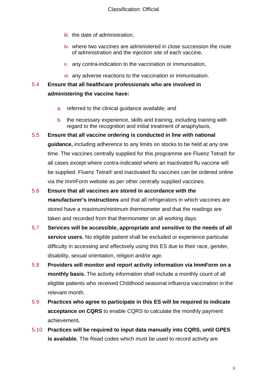- iii. the date of administration,
- iv. where two vaccines are administered in close succession the route of administration and the injection site of each vaccine,
- v. any contra-indication to the vaccination or immunisation,
- vi. any adverse reactions to the vaccination or immunisation.

#### 5.4 **Ensure that all healthcare professionals who are involved in administering the vaccine have:**

- a. referred to the clinical guidance available; and
- b. the necessary experience, skills and training, including training with regard to the recognition and initial treatment of anaphylaxis.
- 5.5 **Ensure that all vaccine ordering is conducted in line with national guidance,** including adherence to any limits on stocks to be held at any one time. The vaccines centrally supplied for this programme are Fluenz Tetra® for all cases except where contra-indicated where an inactivated flu vaccine will be supplied. Fluenz Tetra® and inactivated flu vaccines can be ordered online via the ImmForm website as per other centrally supplied vaccines.
- 5.6 **Ensure that all vaccines are stored in accordance with the manufacturer's instructions** and that all refrigerators in which vaccines are stored have a maximum/minimum thermometer and that the readings are taken and recorded from that thermometer on all working days.
- 5.7 **Services will be accessible, appropriate and sensitive to the needs of all service users.** No eligible patient shall be excluded or experience particular difficulty in accessing and effectively using this ES due to their race, gender, disability, sexual orientation, religion and/or age.
- 5.8 **Providers will monitor and report activity information via ImmForm on a monthly basis.** The activity information shall include a monthly count of all eligible patients who received Childhood seasonal influenza vaccination in the relevant month.
- 5.9 **Practices who agree to participate in this ES will be required to indicate acceptance on CQRS** to enable CQRS to calculate the monthly payment achievement**.**
- 5.10 **Practices will be required to input data manually into CQRS, until GPES is available.** The Read codes which must be used to record activity are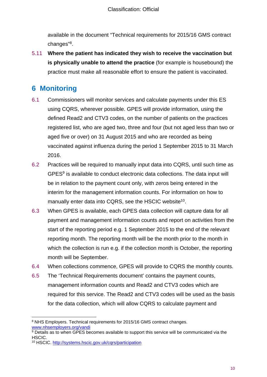available in the document "Technical requirements for 2015/16 GMS contract changes"8.

5.11 **Where the patient has indicated they wish to receive the vaccination but is physically unable to attend the practice** (for example is housebound) the practice must make all reasonable effort to ensure the patient is vaccinated.

## **6 Monitoring**

- 6.1 Commissioners will monitor services and calculate payments under this ES using CQRS, wherever possible. GPES will provide information, using the defined Read2 and CTV3 codes, on the number of patients on the practices registered list, who are aged two, three and four (but not aged less than two or aged five or over) on 31 August 2015 and who are recorded as being vaccinated against influenza during the period 1 September 2015 to 31 March 2016.
- 6.2 Practices will be required to manually input data into CQRS, until such time as GPES9 is available to conduct electronic data collections. The data input will be in relation to the payment count only, with zeros being entered in the interim for the management information counts. For information on how to manually enter data into CQRS, see the HSCIC website<sup>10</sup>.
- 6.3 When GPES is available, each GPES data collection will capture data for all payment and management information counts and report on activities from the start of the reporting period e.g. 1 September 2015 to the end of the relevant reporting month. The reporting month will be the month prior to the month in which the collection is run e.g. if the collection month is October, the reporting month will be September.
- 6.4 When collections commence, GPES will provide to CQRS the monthly counts.
- 6.5 The 'Technical Requirements document' contains the payment counts, management information counts and Read2 and CTV3 codes which are required for this service. The Read2 and CTV3 codes will be used as the basis for the data collection, which will allow CQRS to calculate payment and

<sup>1</sup> <sup>8</sup> NHS Employers. Technical requirements for 2015/16 GMS contract changes. www.nhsemployers.org/vandi

 $9$  Details as to when GPES becomes available to support this service will be communicated via the HSCIC.

<sup>10</sup> HSCIC. http://systems.hscic.gov.uk/cqrs/participation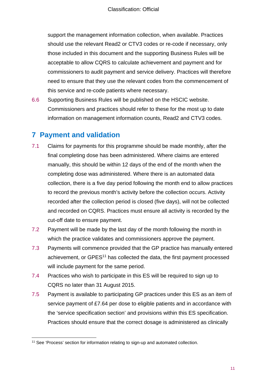support the management information collection, when available. Practices should use the relevant Read2 or CTV3 codes or re-code if necessary, only those included in this document and the supporting Business Rules will be acceptable to allow CQRS to calculate achievement and payment and for commissioners to audit payment and service delivery. Practices will therefore need to ensure that they use the relevant codes from the commencement of this service and re-code patients where necessary.

6.6 Supporting Business Rules will be published on the HSCIC website. Commissioners and practices should refer to these for the most up to date information on management information counts, Read2 and CTV3 codes.

#### **7 Payment and validation**

- 7.1 Claims for payments for this programme should be made monthly, after the final completing dose has been administered. Where claims are entered manually, this should be within 12 days of the end of the month when the completing dose was administered. Where there is an automated data collection, there is a five day period following the month end to allow practices to record the previous month's activity before the collection occurs. Activity recorded after the collection period is closed (five days), will not be collected and recorded on CQRS. Practices must ensure all activity is recorded by the cut-off date to ensure payment.
- 7.2 Payment will be made by the last day of the month following the month in which the practice validates and commissioners approve the payment.
- 7.3 Payments will commence provided that the GP practice has manually entered achievement, or GPES<sup>11</sup> has collected the data, the first payment processed will include payment for the same period.
- 7.4 Practices who wish to participate in this ES will be required to sign up to CQRS no later than 31 August 2015.
- 7.5 Payment is available to participating GP practices under this ES as an item of service payment of £7.64 per dose to eligible patients and in accordance with the 'service specification section' and provisions within this ES specification. Practices should ensure that the correct dosage is administered as clinically

<sup>&</sup>lt;u>.</u> <sup>11</sup> See 'Process' section for information relating to sign-up and automated collection.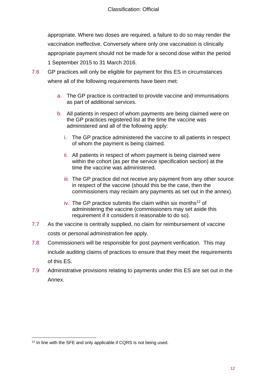appropriate. Where two doses are required, a failure to do so may render the vaccination ineffective. Conversely where only one vaccination is clinically appropriate payment should not be made for a second dose within the period 1 September 2015 to 31 March 2016.

- 7.6 GP practices will only be eligible for payment for this ES in circumstances where all of the following requirements have been met:
	- a. The GP practice is contracted to provide vaccine and immunisations as part of additional services.
	- b. All patients in respect of whom payments are being claimed were on the GP practices registered list at the time the vaccine was administered and all of the following apply:
		- i. The GP practice administered the vaccine to all patients in respect of whom the payment is being claimed.
		- ii. All patients in respect of whom payment is being claimed were within the cohort (as per the service specification section) at the time the vaccine was administered.
		- iii. The GP practice did not receive any payment from any other source in respect of the vaccine (should this be the case, then the commissioners may reclaim any payments as set out in the annex).
		- iv. The GP practice submits the claim within six months<sup>12</sup> of administering the vaccine (commissioners may set aside this requirement if it considers it reasonable to do so).
- 7.7 As the vaccine is centrally supplied, no claim for reimbursement of vaccine costs or personal administration fee apply.
- 7.8 Commissioners will be responsible for post payment verification. This may include auditing claims of practices to ensure that they meet the requirements of this ES.
- 7.9 Administrative provisions relating to payments under this ES are set out in the Annex.

<sup>&</sup>lt;u>.</u> <sup>12</sup> In line with the SFE and only applicable if CQRS is not being used.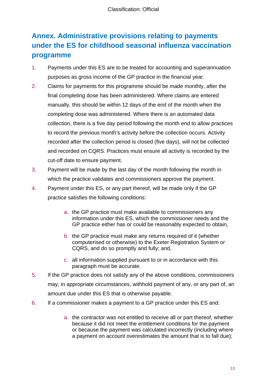## **Annex. Administrative provisions relating to payments under the ES for childhood seasonal influenza vaccination programme**

- 1. Payments under this ES are to be treated for accounting and superannuation purposes as gross income of the GP practice in the financial year.
- 2. Claims for payments for this programme should be made monthly, after the final completing dose has been administered. Where claims are entered manually, this should be within 12 days of the end of the month when the completing dose was administered. Where there is an automated data collection, there is a five day period following the month end to allow practices to record the previous month's activity before the collection occurs. Activity recorded after the collection period is closed (five days), will not be collected and recorded on CQRS. Practices must ensure all activity is recorded by the cut-off date to ensure payment.
- 3. Payment will be made by the last day of the month following the month in which the practice validates and commissioners approve the payment.
- 4. Payment under this ES, or any part thereof, will be made only if the GP practice satisfies the following conditions:
	- a. the GP practice must make available to commissioners any information under this ES, which the commissioner needs and the GP practice either has or could be reasonably expected to obtain,
	- b. the GP practice must make any returns required of it (whether computerised or otherwise) to the Exeter Registration System or CQRS, and do so promptly and fully; and,
	- c. all information supplied pursuant to or in accordance with this paragraph must be accurate.
- 5. If the GP practice does not satisfy any of the above conditions, commissioners may, in appropriate circumstances, withhold payment of any, or any part of, an amount due under this ES that is otherwise payable.
- 6. If a commissioner makes a payment to a GP practice under this ES and:
	- a. the contractor was not entitled to receive all or part thereof, whether because it did not meet the entitlement conditions for the payment or because the payment was calculated incorrectly (including where a payment on account overestimates the amount that is to fall due);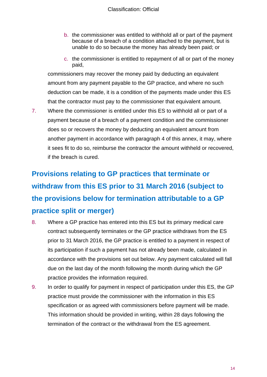- b. the commissioner was entitled to withhold all or part of the payment because of a breach of a condition attached to the payment, but is unable to do so because the money has already been paid; or
- c. the commissioner is entitled to repayment of all or part of the money paid,

commissioners may recover the money paid by deducting an equivalent amount from any payment payable to the GP practice, and where no such deduction can be made, it is a condition of the payments made under this ES that the contractor must pay to the commissioner that equivalent amount.

7. Where the commissioner is entitled under this ES to withhold all or part of a payment because of a breach of a payment condition and the commissioner does so or recovers the money by deducting an equivalent amount from another payment in accordance with paragraph 4 of this annex, it may, where it sees fit to do so, reimburse the contractor the amount withheld or recovered, if the breach is cured.

# **Provisions relating to GP practices that terminate or withdraw from this ES prior to 31 March 2016 (subject to the provisions below for termination attributable to a GP practice split or merger)**

- 8. Where a GP practice has entered into this ES but its primary medical care contract subsequently terminates or the GP practice withdraws from the ES prior to 31 March 2016, the GP practice is entitled to a payment in respect of its participation if such a payment has not already been made, calculated in accordance with the provisions set out below. Any payment calculated will fall due on the last day of the month following the month during which the GP practice provides the information required.
- 9. In order to qualify for payment in respect of participation under this ES, the GP practice must provide the commissioner with the information in this ES specification or as agreed with commissioners before payment will be made. This information should be provided in writing, within 28 days following the termination of the contract or the withdrawal from the ES agreement.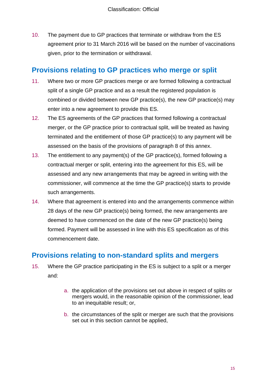10. The payment due to GP practices that terminate or withdraw from the ES agreement prior to 31 March 2016 will be based on the number of vaccinations given, prior to the termination or withdrawal.

#### **Provisions relating to GP practices who merge or split**

- 11. Where two or more GP practices merge or are formed following a contractual split of a single GP practice and as a result the registered population is combined or divided between new GP practice(s), the new GP practice(s) may enter into a new agreement to provide this ES.
- 12. The ES agreements of the GP practices that formed following a contractual merger, or the GP practice prior to contractual split, will be treated as having terminated and the entitlement of those GP practice(s) to any payment will be assessed on the basis of the provisions of paragraph 8 of this annex.
- 13. The entitlement to any payment(s) of the GP practice(s), formed following a contractual merger or split, entering into the agreement for this ES, will be assessed and any new arrangements that may be agreed in writing with the commissioner, will commence at the time the GP practice(s) starts to provide such arrangements.
- 14. Where that agreement is entered into and the arrangements commence within 28 days of the new GP practice(s) being formed, the new arrangements are deemed to have commenced on the date of the new GP practice(s) being formed. Payment will be assessed in line with this ES specification as of this commencement date.

#### **Provisions relating to non-standard splits and mergers**

- 15. Where the GP practice participating in the ES is subject to a split or a merger and:
	- a. the application of the provisions set out above in respect of splits or mergers would, in the reasonable opinion of the commissioner, lead to an inequitable result; or,
	- b. the circumstances of the split or merger are such that the provisions set out in this section cannot be applied,